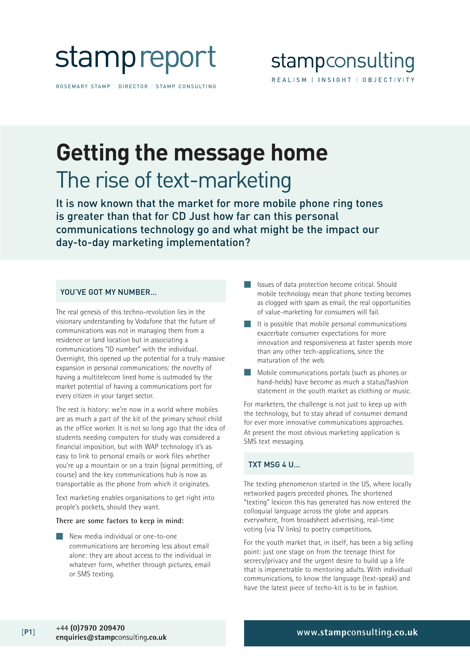

ROSEMARY STAMP | DIRECTOR | STAMP CONSULTING



## **Getting the message home** The rise of text-marketing

It is now known that the market for more mobile phone ring tones is greater than that for CD Just how far can this personal communications technology go and what might be the impact our day-to-day marketing implementation?

#### YOU'VE GOT MY NUMBER…

The real genesis of this techno-revolution lies in the visionary understanding by Vodafone that the future of communications was not in managing them from a residence or land location but in associating a communications "ID number" with the individual. Overnight, this opened up the potential for a truly massive expansion in personal communications: the novelty of having a multitelecom lined home is outmoded by the market potential of having a communications port for every citizen in your target sector.

The rest is history: we're now in a world where mobiles are as much a part of the kit of the primary school child as the office worker. It is not so long ago that the idea of students needing computers for study was considered a financial imposition, but with WAP technology it's as easy to link to personal emails or work files whether you're up a mountain or on a train (signal permitting, of course) and the key communications hub is now as transportable as the phone from which it originates.

Text marketing enables organisations to get right into people's pockets, should they want.

#### **There are some factors to keep in mind:**

New media individual or one-to-one communications are becoming less about email alone: they are about access to the individual in whatever form, whether through pictures, email or SMS texting.

- Issues of data protection become critical. Should mobile technology mean that phone texting becomes as clogged with spam as email, the real opportunities of value-marketing for consumers will fail.
- It is possible that mobile personal communications exacerbate consumer expectations for more innovation and responsiveness at faster speeds more than any other tech-applications, since the maturation of the web.
- Mobile communications portals (such as phones or hand-helds) have become as much a status/fashion statement in the youth market as clothing or music.

For marketers, the challenge is not just to keep up with the technology, but to stay ahead of consumer demand for ever more innovative communications approaches. At present the most obvious marketing application is SMS text messaging.

#### TXT MSG 4 U…

The texting phenomenon started in the US, where locally networked pagers preceded phones. The shortened "texting" lexicon this has generated has now entered the colloquial language across the globe and appears everywhere, from broadsheet advertising, real-time voting (via TV links) to poetry competitions.

For the youth market that, in itself, has been a big selling point: just one stage on from the teenage thirst for secrecy/privacy and the urgent desire to build up a life that is impenetrable to mentoring adults. With individual communications, to know the language (text-speak) and have the latest piece of techo-kit is to be in fashion.